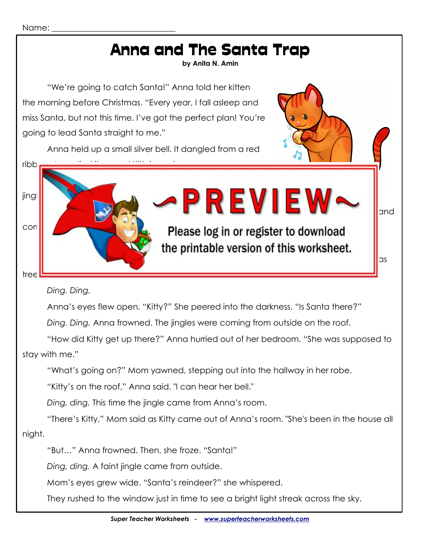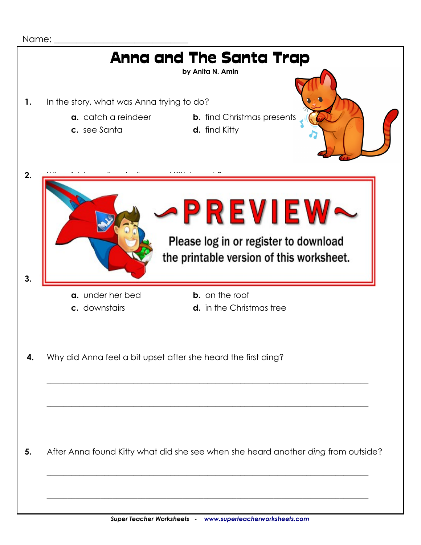

Name:

**5.** After Anna found Kitty what did she see when she heard another *ding* from outside?

\_\_\_\_\_\_\_\_\_\_\_\_\_\_\_\_\_\_\_\_\_\_\_\_\_\_\_\_\_\_\_\_\_\_\_\_\_\_\_\_\_\_\_\_\_\_\_\_\_\_\_\_\_\_\_\_\_\_\_\_\_\_\_\_\_\_\_\_\_\_\_\_\_\_\_\_\_\_

\_\_\_\_\_\_\_\_\_\_\_\_\_\_\_\_\_\_\_\_\_\_\_\_\_\_\_\_\_\_\_\_\_\_\_\_\_\_\_\_\_\_\_\_\_\_\_\_\_\_\_\_\_\_\_\_\_\_\_\_\_\_\_\_\_\_\_\_\_\_\_\_\_\_\_\_\_\_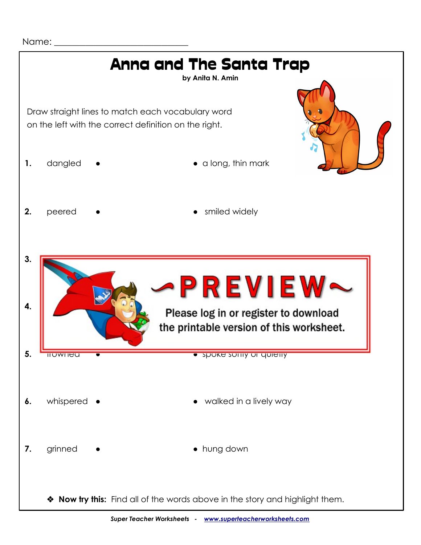Name:

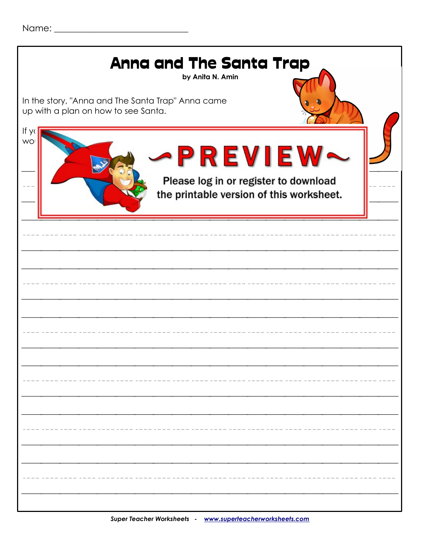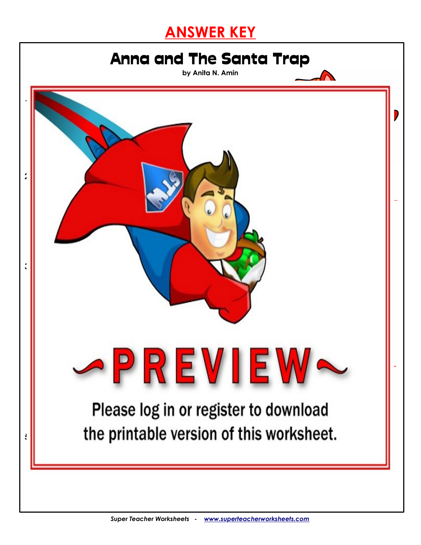## **ANSWER KEY**